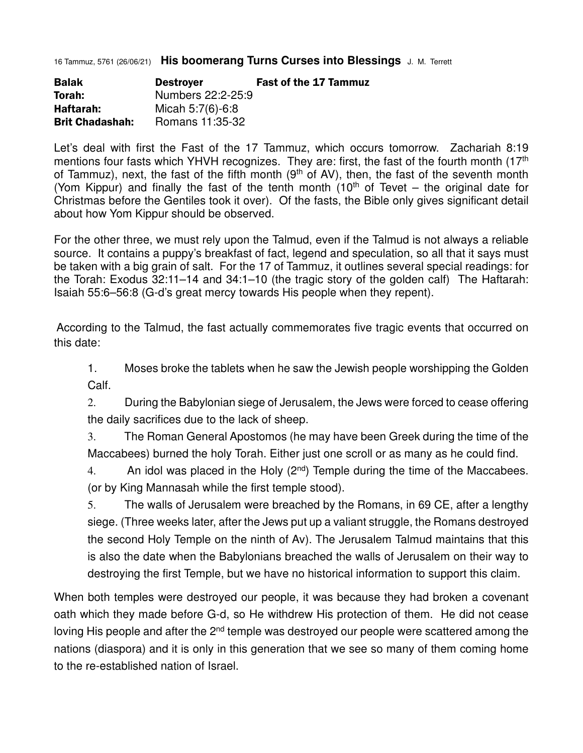16 Tammuz, 5761 (26/06/21) **His boomerang Turns Curses into Blessings** J. M. Terrett

| <b>Balak</b>           | <b>Destroyer</b>  | <b>Fast of the 17 Tammuz</b> |
|------------------------|-------------------|------------------------------|
| Torah:                 | Numbers 22:2-25:9 |                              |
| Haftarah:              | Micah 5:7(6)-6:8  |                              |
| <b>Brit Chadashah:</b> | Romans 11:35-32   |                              |

Let's deal with first the Fast of the 17 Tammuz, which occurs tomorrow. Zachariah 8:19 mentions four fasts which YHVH recognizes. They are: first, the fast of the fourth month (17<sup>th</sup>) of Tammuz), next, the fast of the fifth month  $(9<sup>th</sup>$  of AV), then, the fast of the seventh month (Yom Kippur) and finally the fast of the tenth month (10<sup>th</sup> of Tevet – the original date for Christmas before the Gentiles took it over). Of the fasts, the Bible only gives significant detail about how Yom Kippur should be observed.

For the other three, we must rely upon the Talmud, even if the Talmud is not always a reliable source. It contains a puppy's breakfast of fact, legend and speculation, so all that it says must be taken with a big grain of salt. For the 17 of Tammuz, it outlines several special readings: for the Torah: Exodus 32:11–14 and 34:1–10 (the tragic story of the golden calf) The Haftarah: Isaiah 55:6–56:8 (G-d's great mercy towards His people when they repent).

 According to the Talmud, the fast actually commemorates five tragic events that occurred on this date:

1. Moses broke the tablets when he saw the Jewish people worshipping the Golden Calf.

2. During the Babylonian siege of Jerusalem, the Jews were forced to cease offering the daily sacrifices due to the lack of sheep.

3. The Roman General Apostomos (he may have been Greek during the time of the Maccabees) burned the holy Torah. Either just one scroll or as many as he could find.

4. An idol was placed in the Holy  $(2^{nd})$  Temple during the time of the Maccabees. (or by King Mannasah while the first temple stood).

5. The walls of Jerusalem were breached by the Romans, in 69 CE, after a lengthy siege. (Three weeks later, after the Jews put up a valiant struggle, the Romans destroyed the second Holy Temple on the ninth of Av). The Jerusalem Talmud maintains that this is also the date when the Babylonians breached the walls of Jerusalem on their way to destroying the first Temple, but we have no historical information to support this claim.

When both temples were destroyed our people, it was because they had broken a covenant oath which they made before G-d, so He withdrew His protection of them. He did not cease loving His people and after the  $2<sup>nd</sup>$  temple was destroyed our people were scattered among the nations (diaspora) and it is only in this generation that we see so many of them coming home to the re-established nation of Israel.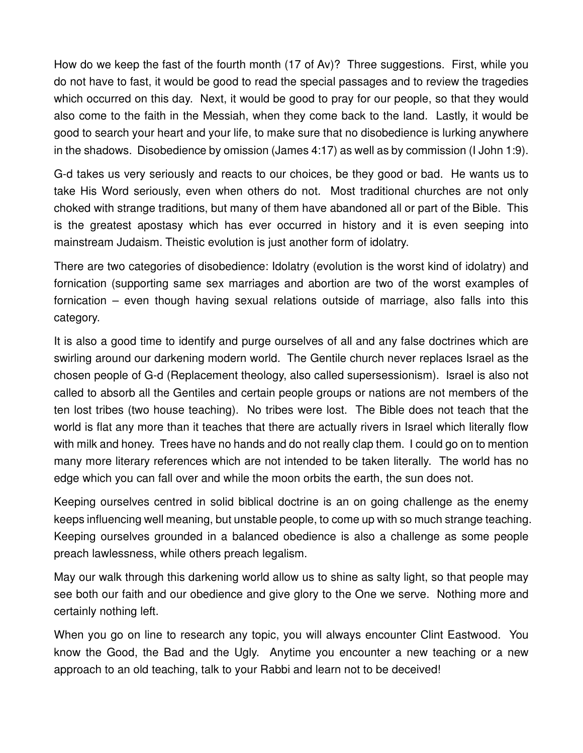How do we keep the fast of the fourth month (17 of Av)? Three suggestions. First, while you do not have to fast, it would be good to read the special passages and to review the tragedies which occurred on this day. Next, it would be good to pray for our people, so that they would also come to the faith in the Messiah, when they come back to the land. Lastly, it would be good to search your heart and your life, to make sure that no disobedience is lurking anywhere in the shadows. Disobedience by omission (James 4:17) as well as by commission (I John 1:9).

G-d takes us very seriously and reacts to our choices, be they good or bad. He wants us to take His Word seriously, even when others do not. Most traditional churches are not only choked with strange traditions, but many of them have abandoned all or part of the Bible. This is the greatest apostasy which has ever occurred in history and it is even seeping into mainstream Judaism. Theistic evolution is just another form of idolatry.

There are two categories of disobedience: Idolatry (evolution is the worst kind of idolatry) and fornication (supporting same sex marriages and abortion are two of the worst examples of fornication – even though having sexual relations outside of marriage, also falls into this category.

It is also a good time to identify and purge ourselves of all and any false doctrines which are swirling around our darkening modern world. The Gentile church never replaces Israel as the chosen people of G-d (Replacement theology, also called supersessionism). Israel is also not called to absorb all the Gentiles and certain people groups or nations are not members of the ten lost tribes (two house teaching). No tribes were lost. The Bible does not teach that the world is flat any more than it teaches that there are actually rivers in Israel which literally flow with milk and honey. Trees have no hands and do not really clap them. I could go on to mention many more literary references which are not intended to be taken literally. The world has no edge which you can fall over and while the moon orbits the earth, the sun does not.

Keeping ourselves centred in solid biblical doctrine is an on going challenge as the enemy keeps influencing well meaning, but unstable people, to come up with so much strange teaching. Keeping ourselves grounded in a balanced obedience is also a challenge as some people preach lawlessness, while others preach legalism.

May our walk through this darkening world allow us to shine as salty light, so that people may see both our faith and our obedience and give glory to the One we serve. Nothing more and certainly nothing left.

When you go on line to research any topic, you will always encounter Clint Eastwood. You know the Good, the Bad and the Ugly. Anytime you encounter a new teaching or a new approach to an old teaching, talk to your Rabbi and learn not to be deceived!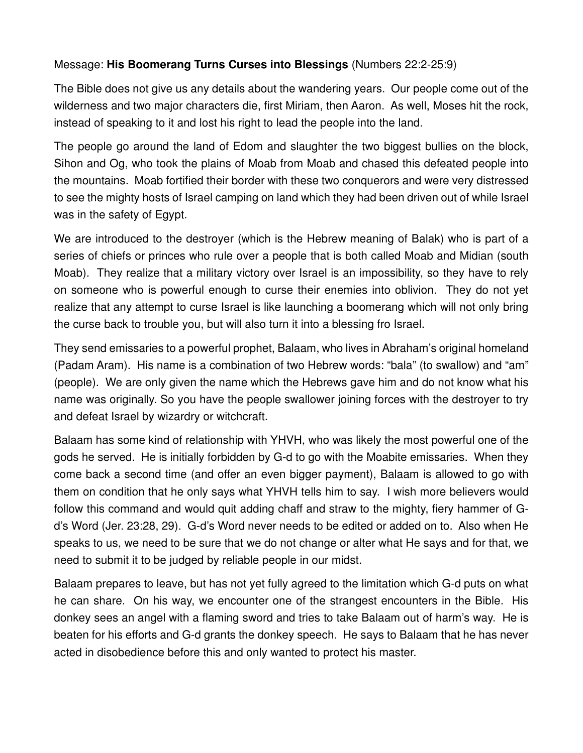## Message: **His Boomerang Turns Curses into Blessings** (Numbers 22:2-25:9)

The Bible does not give us any details about the wandering years. Our people come out of the wilderness and two major characters die, first Miriam, then Aaron. As well, Moses hit the rock, instead of speaking to it and lost his right to lead the people into the land.

The people go around the land of Edom and slaughter the two biggest bullies on the block, Sihon and Og, who took the plains of Moab from Moab and chased this defeated people into the mountains. Moab fortified their border with these two conquerors and were very distressed to see the mighty hosts of Israel camping on land which they had been driven out of while Israel was in the safety of Egypt.

We are introduced to the destroyer (which is the Hebrew meaning of Balak) who is part of a series of chiefs or princes who rule over a people that is both called Moab and Midian (south Moab). They realize that a military victory over Israel is an impossibility, so they have to rely on someone who is powerful enough to curse their enemies into oblivion. They do not yet realize that any attempt to curse Israel is like launching a boomerang which will not only bring the curse back to trouble you, but will also turn it into a blessing fro Israel.

They send emissaries to a powerful prophet, Balaam, who lives in Abraham's original homeland (Padam Aram). His name is a combination of two Hebrew words: "bala" (to swallow) and "am" (people). We are only given the name which the Hebrews gave him and do not know what his name was originally. So you have the people swallower joining forces with the destroyer to try and defeat Israel by wizardry or witchcraft.

Balaam has some kind of relationship with YHVH, who was likely the most powerful one of the gods he served. He is initially forbidden by G-d to go with the Moabite emissaries. When they come back a second time (and offer an even bigger payment), Balaam is allowed to go with them on condition that he only says what YHVH tells him to say. I wish more believers would follow this command and would quit adding chaff and straw to the mighty, fiery hammer of Gd's Word (Jer. 23:28, 29). G-d's Word never needs to be edited or added on to. Also when He speaks to us, we need to be sure that we do not change or alter what He says and for that, we need to submit it to be judged by reliable people in our midst.

Balaam prepares to leave, but has not yet fully agreed to the limitation which G-d puts on what he can share. On his way, we encounter one of the strangest encounters in the Bible. His donkey sees an angel with a flaming sword and tries to take Balaam out of harm's way. He is beaten for his efforts and G-d grants the donkey speech. He says to Balaam that he has never acted in disobedience before this and only wanted to protect his master.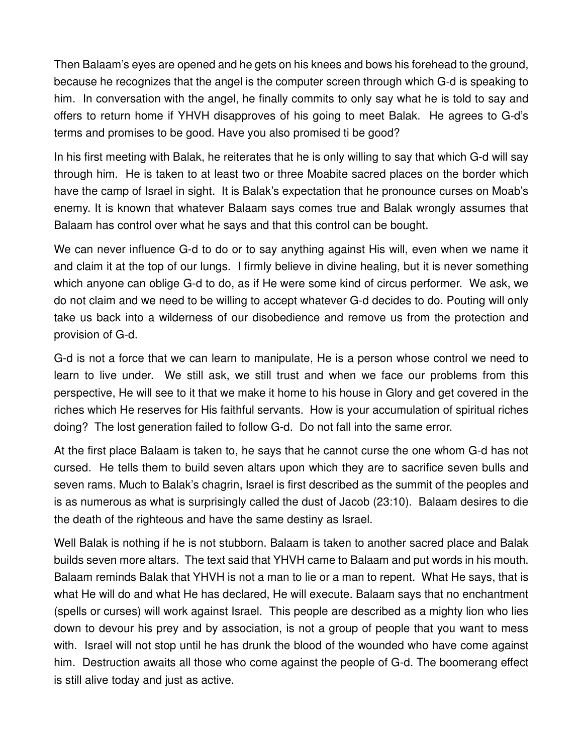Then Balaam's eyes are opened and he gets on his knees and bows his forehead to the ground, because he recognizes that the angel is the computer screen through which G-d is speaking to him. In conversation with the angel, he finally commits to only say what he is told to say and offers to return home if YHVH disapproves of his going to meet Balak. He agrees to G-d's terms and promises to be good. Have you also promised ti be good?

In his first meeting with Balak, he reiterates that he is only willing to say that which G-d will say through him. He is taken to at least two or three Moabite sacred places on the border which have the camp of Israel in sight. It is Balak's expectation that he pronounce curses on Moab's enemy. It is known that whatever Balaam says comes true and Balak wrongly assumes that Balaam has control over what he says and that this control can be bought.

We can never influence G-d to do or to say anything against His will, even when we name it and claim it at the top of our lungs. I firmly believe in divine healing, but it is never something which anyone can oblige G-d to do, as if He were some kind of circus performer. We ask, we do not claim and we need to be willing to accept whatever G-d decides to do. Pouting will only take us back into a wilderness of our disobedience and remove us from the protection and provision of G-d.

G-d is not a force that we can learn to manipulate, He is a person whose control we need to learn to live under. We still ask, we still trust and when we face our problems from this perspective, He will see to it that we make it home to his house in Glory and get covered in the riches which He reserves for His faithful servants. How is your accumulation of spiritual riches doing? The lost generation failed to follow G-d. Do not fall into the same error.

At the first place Balaam is taken to, he says that he cannot curse the one whom G-d has not cursed. He tells them to build seven altars upon which they are to sacrifice seven bulls and seven rams. Much to Balak's chagrin, Israel is first described as the summit of the peoples and is as numerous as what is surprisingly called the dust of Jacob (23:10). Balaam desires to die the death of the righteous and have the same destiny as Israel.

Well Balak is nothing if he is not stubborn. Balaam is taken to another sacred place and Balak builds seven more altars. The text said that YHVH came to Balaam and put words in his mouth. Balaam reminds Balak that YHVH is not a man to lie or a man to repent. What He says, that is what He will do and what He has declared, He will execute. Balaam says that no enchantment (spells or curses) will work against Israel. This people are described as a mighty lion who lies down to devour his prey and by association, is not a group of people that you want to mess with. Israel will not stop until he has drunk the blood of the wounded who have come against him. Destruction awaits all those who come against the people of G-d. The boomerang effect is still alive today and just as active.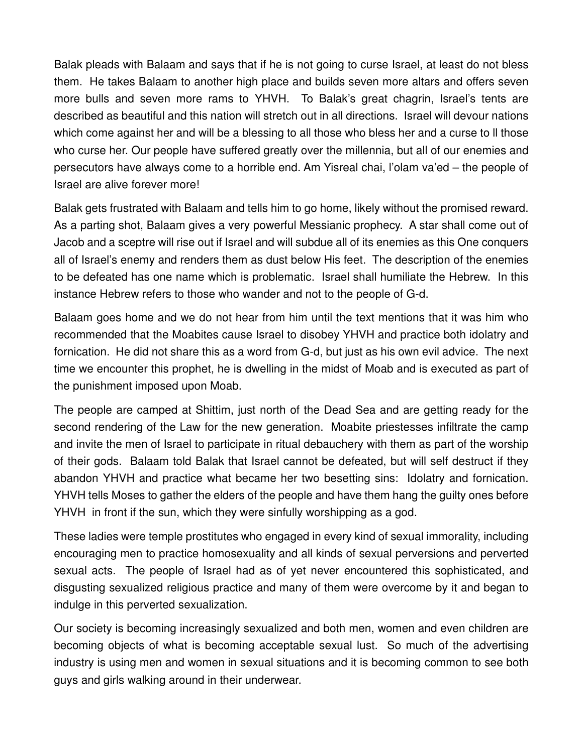Balak pleads with Balaam and says that if he is not going to curse Israel, at least do not bless them. He takes Balaam to another high place and builds seven more altars and offers seven more bulls and seven more rams to YHVH. To Balak's great chagrin, Israel's tents are described as beautiful and this nation will stretch out in all directions. Israel will devour nations which come against her and will be a blessing to all those who bless her and a curse to ll those who curse her. Our people have suffered greatly over the millennia, but all of our enemies and persecutors have always come to a horrible end. Am Yisreal chai, l'olam va'ed – the people of Israel are alive forever more!

Balak gets frustrated with Balaam and tells him to go home, likely without the promised reward. As a parting shot, Balaam gives a very powerful Messianic prophecy. A star shall come out of Jacob and a sceptre will rise out if Israel and will subdue all of its enemies as this One conquers all of Israel's enemy and renders them as dust below His feet. The description of the enemies to be defeated has one name which is problematic. Israel shall humiliate the Hebrew. In this instance Hebrew refers to those who wander and not to the people of G-d.

Balaam goes home and we do not hear from him until the text mentions that it was him who recommended that the Moabites cause Israel to disobey YHVH and practice both idolatry and fornication. He did not share this as a word from G-d, but just as his own evil advice. The next time we encounter this prophet, he is dwelling in the midst of Moab and is executed as part of the punishment imposed upon Moab.

The people are camped at Shittim, just north of the Dead Sea and are getting ready for the second rendering of the Law for the new generation. Moabite priestesses infiltrate the camp and invite the men of Israel to participate in ritual debauchery with them as part of the worship of their gods. Balaam told Balak that Israel cannot be defeated, but will self destruct if they abandon YHVH and practice what became her two besetting sins: Idolatry and fornication. YHVH tells Moses to gather the elders of the people and have them hang the guilty ones before YHVH in front if the sun, which they were sinfully worshipping as a god.

These ladies were temple prostitutes who engaged in every kind of sexual immorality, including encouraging men to practice homosexuality and all kinds of sexual perversions and perverted sexual acts. The people of Israel had as of yet never encountered this sophisticated, and disgusting sexualized religious practice and many of them were overcome by it and began to indulge in this perverted sexualization.

Our society is becoming increasingly sexualized and both men, women and even children are becoming objects of what is becoming acceptable sexual lust. So much of the advertising industry is using men and women in sexual situations and it is becoming common to see both guys and girls walking around in their underwear.